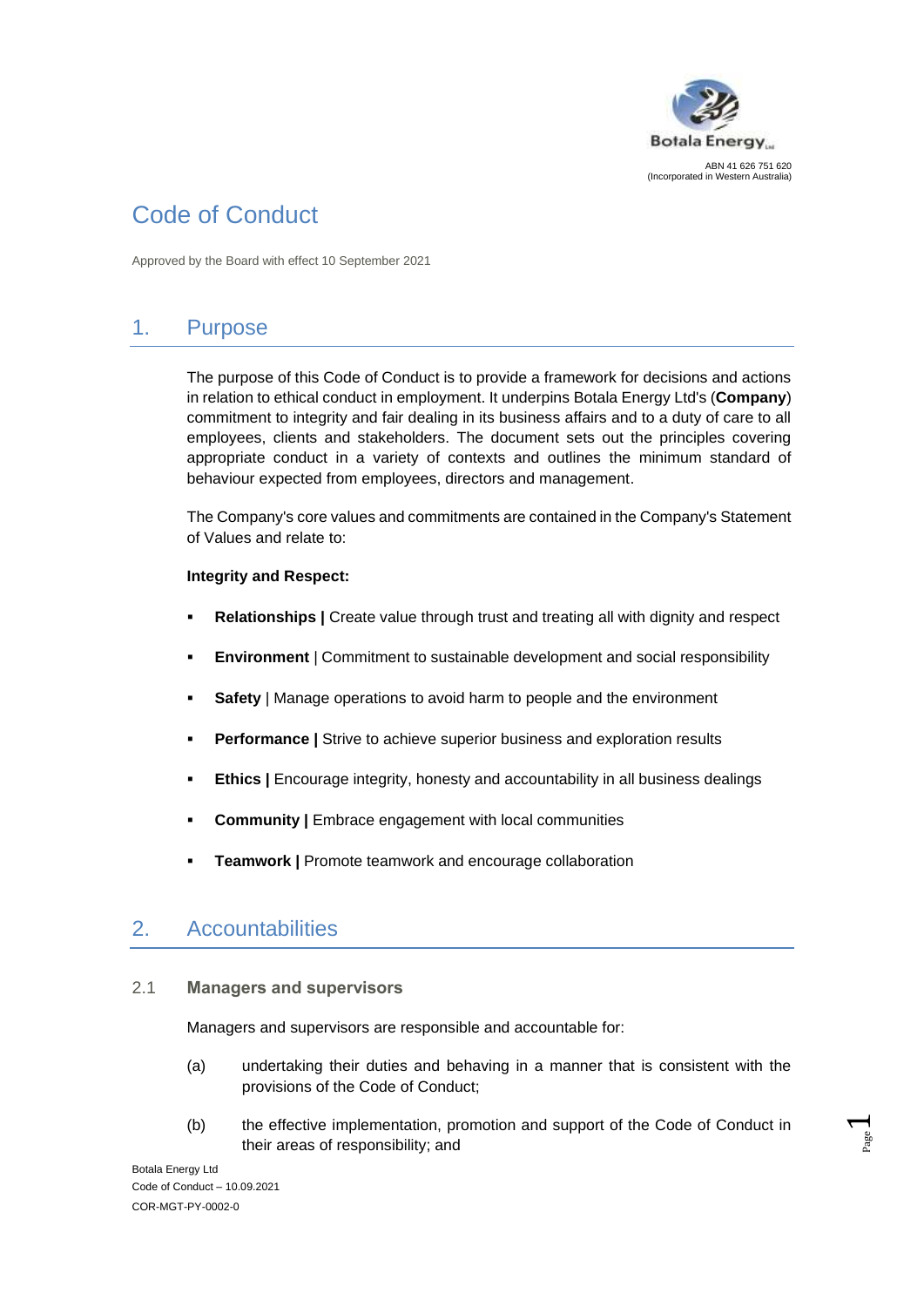

# Code of Conduct

Approved by the Board with effect 10 September 2021

# 1. Purpose

The purpose of this Code of Conduct is to provide a framework for decisions and actions in relation to ethical conduct in employment. It underpins Botala Energy Ltd's (**Company**) commitment to integrity and fair dealing in its business affairs and to a duty of care to all employees, clients and stakeholders. The document sets out the principles covering appropriate conduct in a variety of contexts and outlines the minimum standard of behaviour expected from employees, directors and management.

The Company's core values and commitments are contained in the Company's Statement of Values and relate to:

#### **Integrity and Respect:**

- **Relationships** | Create value through trust and treating all with dignity and respect
- **Environment** | Commitment to sustainable development and social responsibility
- **Safety** | Manage operations to avoid harm to people and the environment
- **Performance |** Strive to achieve superior business and exploration results
- **Ethics |** Encourage integrity, honesty and accountability in all business dealings
- **Community** | Embrace engagement with local communities
- **Teamwork | Promote teamwork and encourage collaboration**

### 2. Accountabilities

#### 2.1 **Managers and supervisors**

Managers and supervisors are responsible and accountable for:

- (a) undertaking their duties and behaving in a manner that is consistent with the provisions of the Code of Conduct;
- (b) the effective implementation, promotion and support of the Code of Conduct in their areas of responsibility; and

Botala Energy Ltd Code of Conduct – 10.09.2021 COR-MGT-PY-0002-0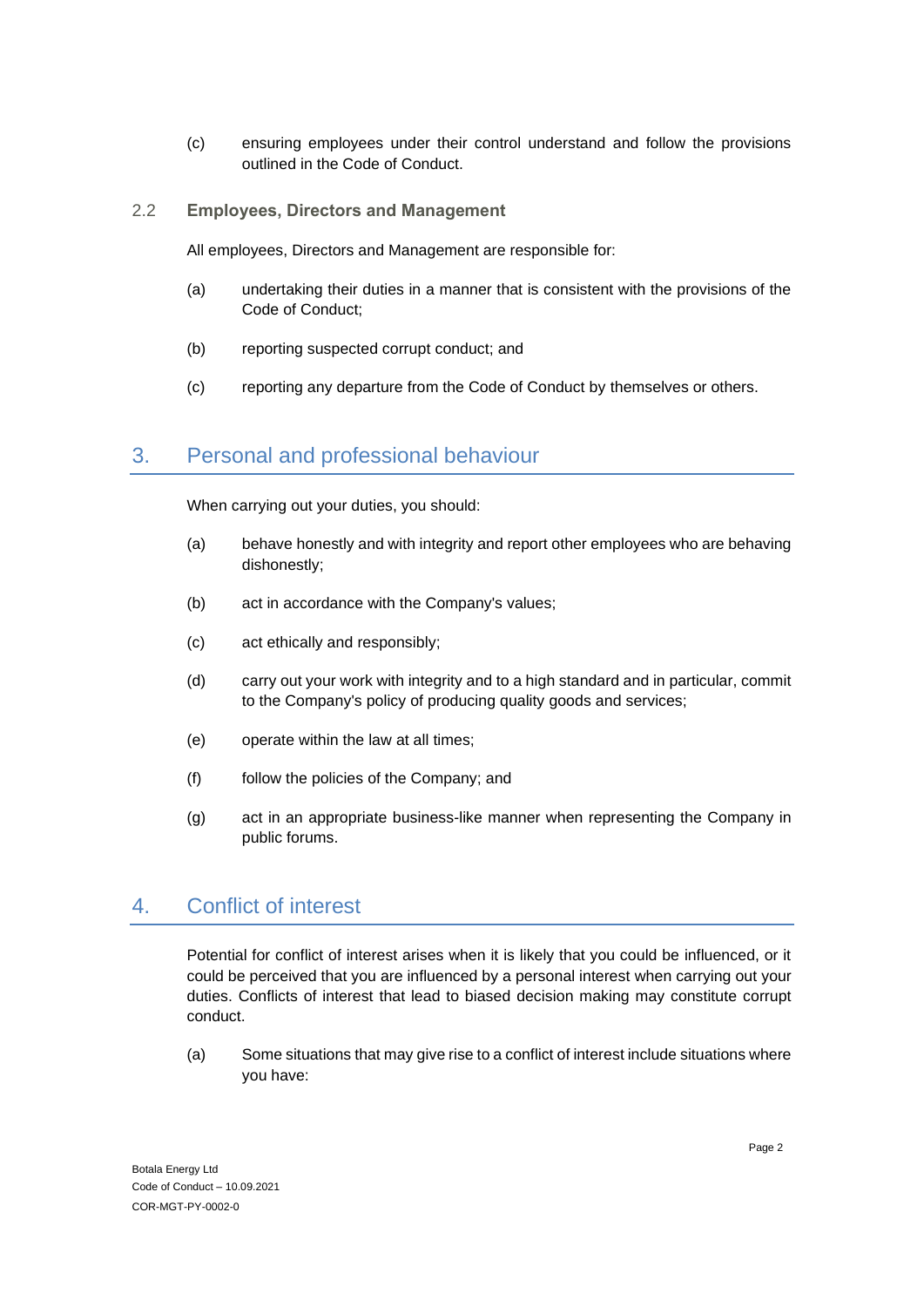- (c) ensuring employees under their control understand and follow the provisions outlined in the Code of Conduct.
- 2.2 **Employees, Directors and Management**

All employees, Directors and Management are responsible for:

- (a) undertaking their duties in a manner that is consistent with the provisions of the Code of Conduct;
- (b) reporting suspected corrupt conduct; and
- (c) reporting any departure from the Code of Conduct by themselves or others.

#### 3. Personal and professional behaviour

When carrying out your duties, you should:

- (a) behave honestly and with integrity and report other employees who are behaving dishonestly;
- (b) act in accordance with the Company's values;
- (c) act ethically and responsibly;
- (d) carry out your work with integrity and to a high standard and in particular, commit to the Company's policy of producing quality goods and services;
- (e) operate within the law at all times;
- (f) follow the policies of the Company; and
- (g) act in an appropriate business-like manner when representing the Company in public forums.

#### 4. Conflict of interest

Potential for conflict of interest arises when it is likely that you could be influenced, or it could be perceived that you are influenced by a personal interest when carrying out your duties. Conflicts of interest that lead to biased decision making may constitute corrupt conduct.

(a) Some situations that may give rise to a conflict of interest include situations where you have: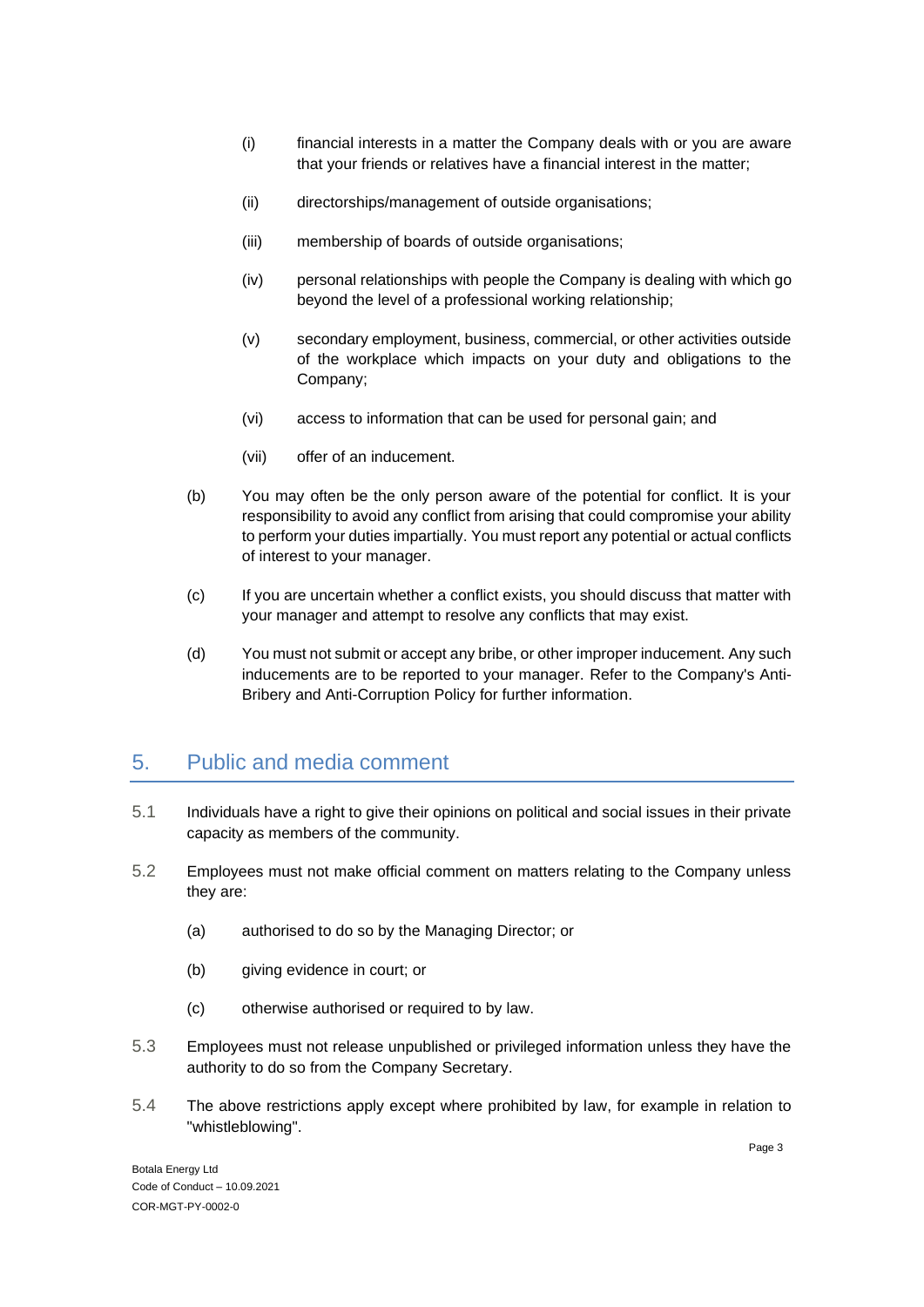- (i) financial interests in a matter the Company deals with or you are aware that your friends or relatives have a financial interest in the matter;
- (ii) directorships/management of outside organisations;
- (iii) membership of boards of outside organisations;
- (iv) personal relationships with people the Company is dealing with which go beyond the level of a professional working relationship;
- (v) secondary employment, business, commercial, or other activities outside of the workplace which impacts on your duty and obligations to the Company;
- (vi) access to information that can be used for personal gain; and
- (vii) offer of an inducement.
- (b) You may often be the only person aware of the potential for conflict. It is your responsibility to avoid any conflict from arising that could compromise your ability to perform your duties impartially. You must report any potential or actual conflicts of interest to your manager.
- (c) If you are uncertain whether a conflict exists, you should discuss that matter with your manager and attempt to resolve any conflicts that may exist.
- (d) You must not submit or accept any bribe, or other improper inducement. Any such inducements are to be reported to your manager. Refer to the Company's Anti-Bribery and Anti-Corruption Policy for further information.

#### 5. Public and media comment

- 5.1 Individuals have a right to give their opinions on political and social issues in their private capacity as members of the community.
- 5.2 Employees must not make official comment on matters relating to the Company unless they are:
	- (a) authorised to do so by the Managing Director; or
	- (b) giving evidence in court; or
	- (c) otherwise authorised or required to by law.
- 5.3 Employees must not release unpublished or privileged information unless they have the authority to do so from the Company Secretary.
- 5.4 The above restrictions apply except where prohibited by law, for example in relation to "whistleblowing".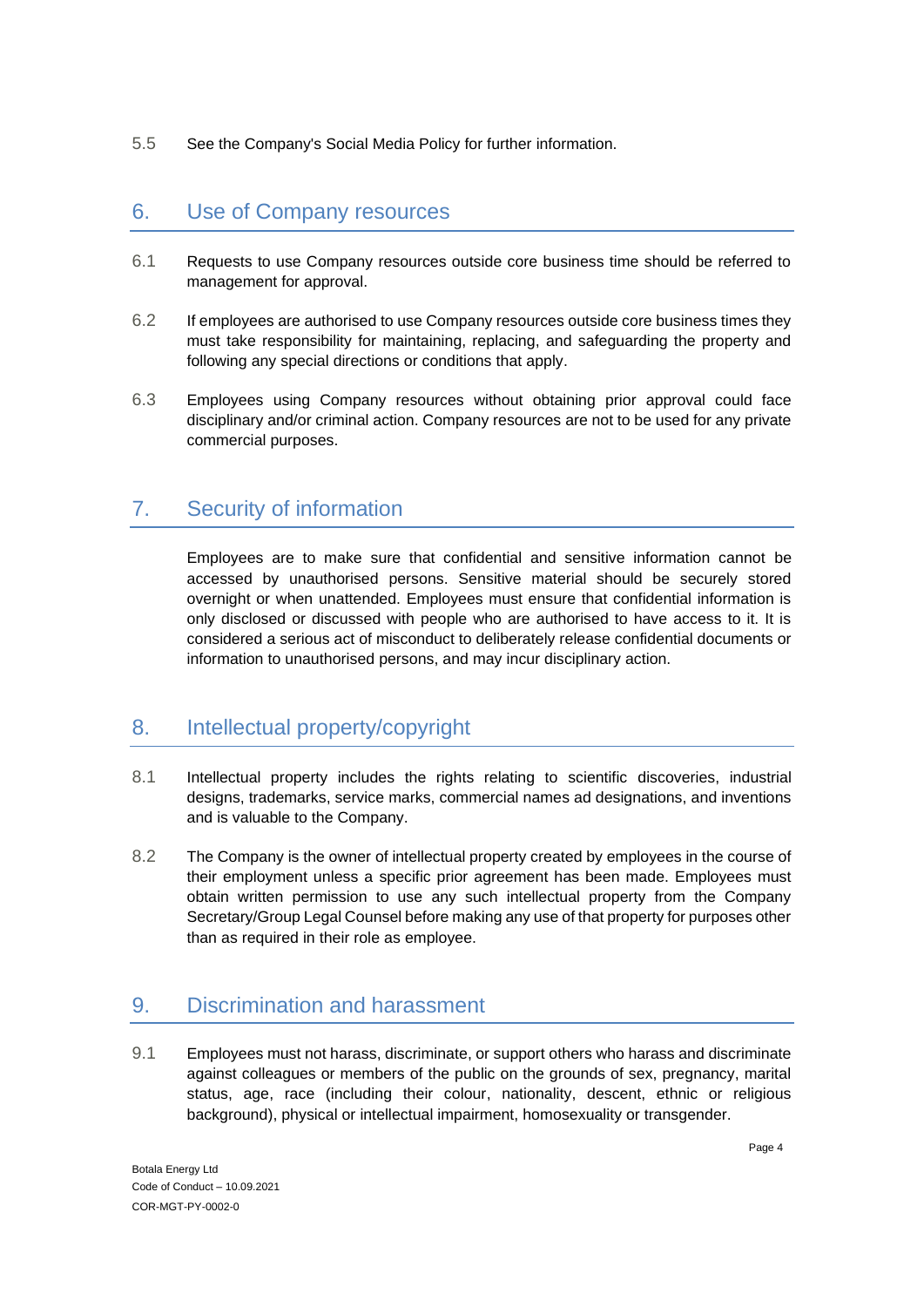5.5 See the Company's Social Media Policy for further information.

#### 6. Use of Company resources

- 6.1 Requests to use Company resources outside core business time should be referred to management for approval.
- 6.2 If employees are authorised to use Company resources outside core business times they must take responsibility for maintaining, replacing, and safeguarding the property and following any special directions or conditions that apply.
- 6.3 Employees using Company resources without obtaining prior approval could face disciplinary and/or criminal action. Company resources are not to be used for any private commercial purposes.

## 7. Security of information

Employees are to make sure that confidential and sensitive information cannot be accessed by unauthorised persons. Sensitive material should be securely stored overnight or when unattended. Employees must ensure that confidential information is only disclosed or discussed with people who are authorised to have access to it. It is considered a serious act of misconduct to deliberately release confidential documents or information to unauthorised persons, and may incur disciplinary action.

### 8. Intellectual property/copyright

- 8.1 Intellectual property includes the rights relating to scientific discoveries, industrial designs, trademarks, service marks, commercial names ad designations, and inventions and is valuable to the Company.
- 8.2 The Company is the owner of intellectual property created by employees in the course of their employment unless a specific prior agreement has been made. Employees must obtain written permission to use any such intellectual property from the Company Secretary/Group Legal Counsel before making any use of that property for purposes other than as required in their role as employee.

# 9. Discrimination and harassment

9.1 Employees must not harass, discriminate, or support others who harass and discriminate against colleagues or members of the public on the grounds of sex, pregnancy, marital status, age, race (including their colour, nationality, descent, ethnic or religious background), physical or intellectual impairment, homosexuality or transgender.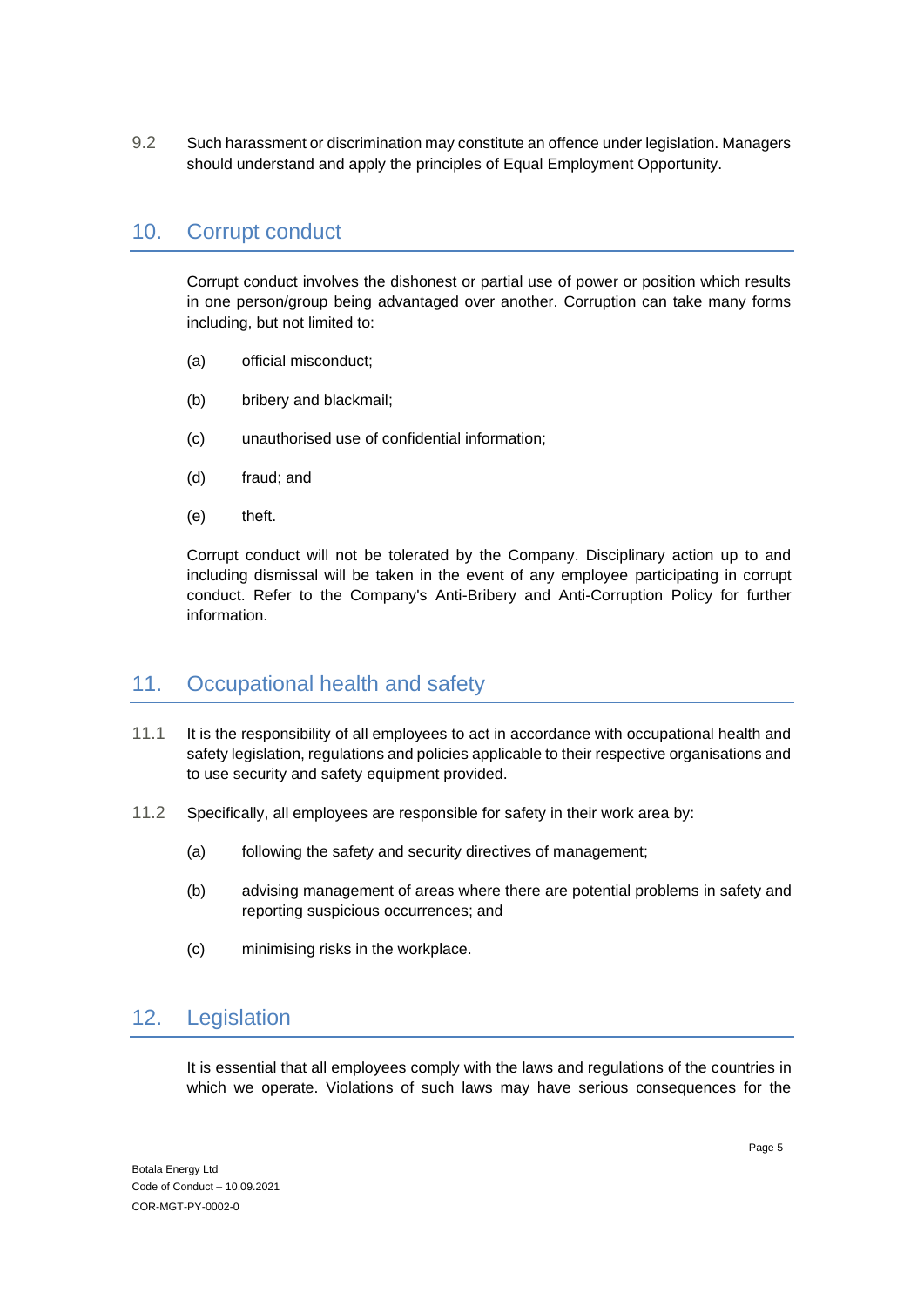9.2 Such harassment or discrimination may constitute an offence under legislation. Managers should understand and apply the principles of Equal Employment Opportunity.

#### 10. Corrupt conduct

Corrupt conduct involves the dishonest or partial use of power or position which results in one person/group being advantaged over another. Corruption can take many forms including, but not limited to:

- (a) official misconduct;
- (b) bribery and blackmail;
- (c) unauthorised use of confidential information;
- (d) fraud; and
- (e) theft.

Corrupt conduct will not be tolerated by the Company. Disciplinary action up to and including dismissal will be taken in the event of any employee participating in corrupt conduct. Refer to the Company's Anti-Bribery and Anti-Corruption Policy for further information.

#### 11. Occupational health and safety

- 11.1 It is the responsibility of all employees to act in accordance with occupational health and safety legislation, regulations and policies applicable to their respective organisations and to use security and safety equipment provided.
- 11.2 Specifically, all employees are responsible for safety in their work area by:
	- (a) following the safety and security directives of management;
	- (b) advising management of areas where there are potential problems in safety and reporting suspicious occurrences; and
	- (c) minimising risks in the workplace.

#### 12. Legislation

It is essential that all employees comply with the laws and regulations of the countries in which we operate. Violations of such laws may have serious consequences for the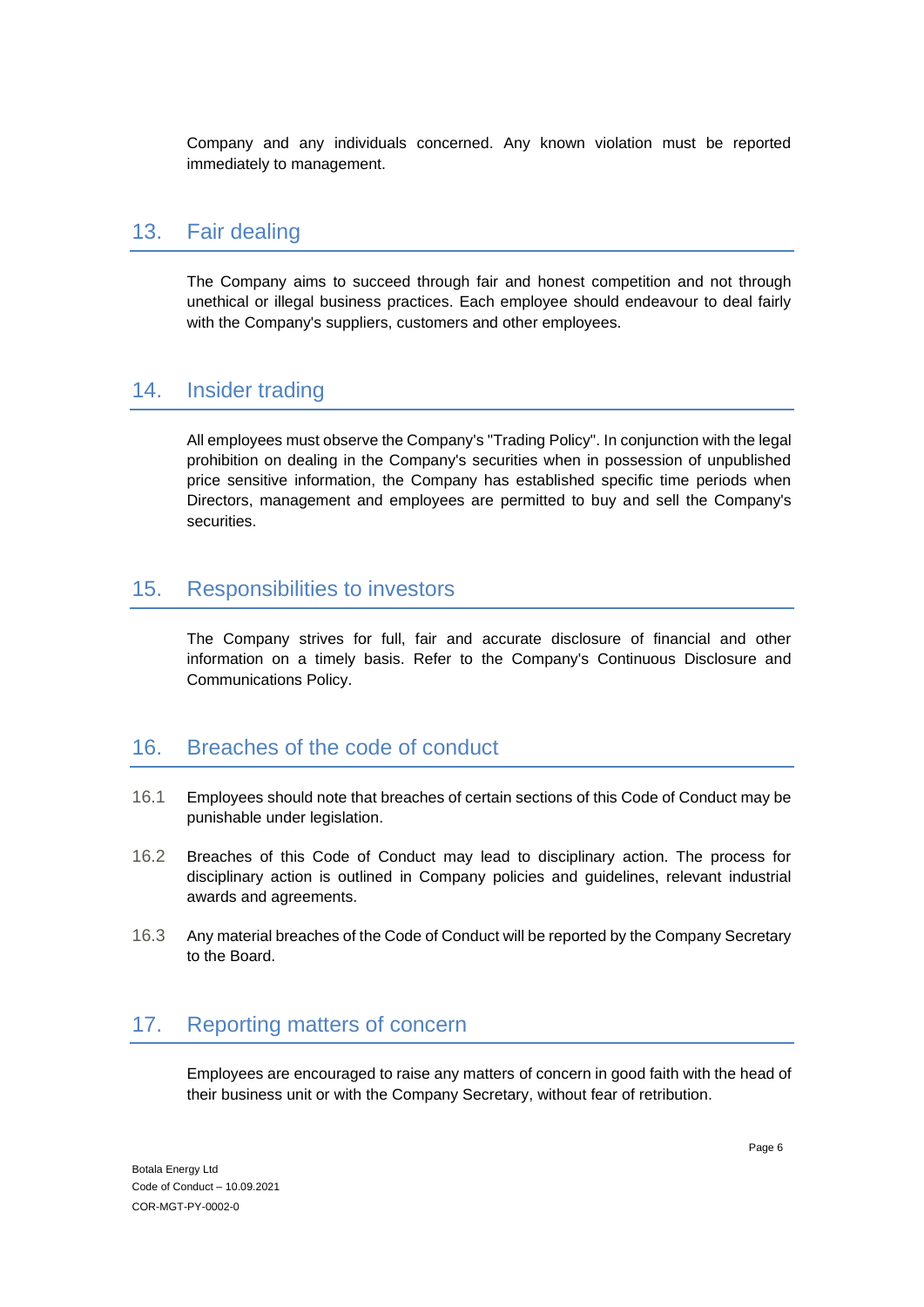Company and any individuals concerned. Any known violation must be reported immediately to management.

#### 13. Fair dealing

The Company aims to succeed through fair and honest competition and not through unethical or illegal business practices. Each employee should endeavour to deal fairly with the Company's suppliers, customers and other employees.

#### 14. Insider trading

All employees must observe the Company's "Trading Policy". In conjunction with the legal prohibition on dealing in the Company's securities when in possession of unpublished price sensitive information, the Company has established specific time periods when Directors, management and employees are permitted to buy and sell the Company's securities.

#### 15. Responsibilities to investors

The Company strives for full, fair and accurate disclosure of financial and other information on a timely basis. Refer to the Company's Continuous Disclosure and Communications Policy.

#### 16. Breaches of the code of conduct

- 16.1 Employees should note that breaches of certain sections of this Code of Conduct may be punishable under legislation.
- 16.2 Breaches of this Code of Conduct may lead to disciplinary action. The process for disciplinary action is outlined in Company policies and guidelines, relevant industrial awards and agreements.
- 16.3 Any material breaches of the Code of Conduct will be reported by the Company Secretary to the Board.

### 17. Reporting matters of concern

Employees are encouraged to raise any matters of concern in good faith with the head of their business unit or with the Company Secretary, without fear of retribution.